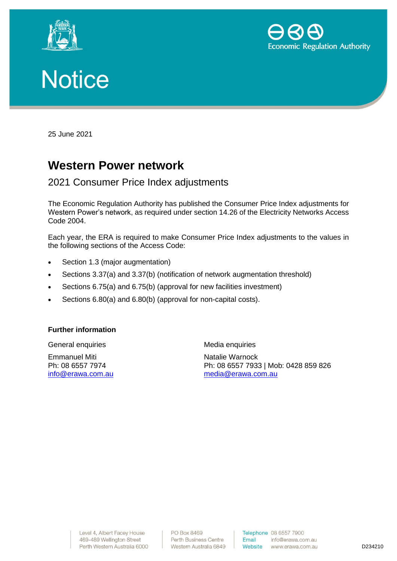





25 June 2021

# **Western Power network**

## 2021 Consumer Price Index adjustments

The Economic Regulation Authority has published the Consumer Price Index adjustments for Western Power's network, as required under section 14.26 of the Electricity Networks Access Code 2004.

Each year, the ERA is required to make Consumer Price Index adjustments to the values in the following sections of the Access Code:

- Section 1.3 (major augmentation)
- Sections 3.37(a) and 3.37(b) (notification of network augmentation threshold)
- Sections 6.75(a) and 6.75(b) (approval for new facilities investment)
- Sections 6.80(a) and 6.80(b) (approval for non-capital costs).

### **Further information**

General enquiries Emmanuel Miti Ph: 08 6557 7974 [info@erawa.com.au](mailto:info@erawa.com.au) Media enquiries

Natalie Warnock Ph: 08 6557 7933 | Mob: 0428 859 826 [media@erawa.com.au](mailto:media@erawa.com.au)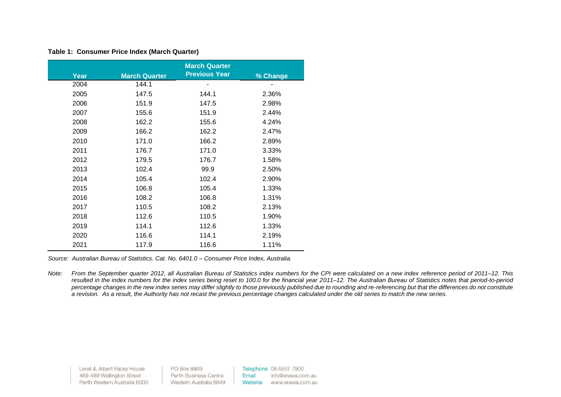|      | <b>March Quarter</b> |                      |          |  |  |  |  |
|------|----------------------|----------------------|----------|--|--|--|--|
| Year | <b>March Quarter</b> | <b>Previous Year</b> | % Change |  |  |  |  |
| 2004 | 144.1                |                      |          |  |  |  |  |
| 2005 | 147.5                | 144.1                | 2.36%    |  |  |  |  |
| 2006 | 151.9                | 147.5                | 2.98%    |  |  |  |  |
| 2007 | 155.6                | 151.9                | 2.44%    |  |  |  |  |
| 2008 | 162.2                | 155.6                | 4.24%    |  |  |  |  |
| 2009 | 166.2                | 162.2                | 2.47%    |  |  |  |  |
| 2010 | 171.0                | 166.2                | 2.89%    |  |  |  |  |
| 2011 | 176.7                | 171.0                | 3.33%    |  |  |  |  |
| 2012 | 179.5                | 176.7                | 1.58%    |  |  |  |  |
| 2013 | 102.4                | 99.9                 | 2.50%    |  |  |  |  |
| 2014 | 105.4                | 102.4                | 2.90%    |  |  |  |  |
| 2015 | 106.8                | 105.4                | 1.33%    |  |  |  |  |
| 2016 | 108.2                | 106.8                | 1.31%    |  |  |  |  |
| 2017 | 110.5                | 108.2                | 2.13%    |  |  |  |  |
| 2018 | 112.6                | 110.5                | 1.90%    |  |  |  |  |
| 2019 | 114.1                | 112.6                | 1.33%    |  |  |  |  |
| 2020 | 116.6                | 114.1                | 2.19%    |  |  |  |  |
| 2021 | 117.9                | 116.6                | 1.11%    |  |  |  |  |

#### **Table 1: Consumer Price Index (March Quarter)**

*Source: Australian Bureau of Statistics. Cat. No. 6401.0 – Consumer Price Index, Australia.*

*Note: From the September quarter 2012, all Australian Bureau of Statistics index numbers for the CPI were calculated on a new index reference period of 2011–12. This resulted in the index numbers for the index series being reset to 100.0 for the financial year 2011–12. The Australian Bureau of Statistics notes that period-to-period percentage changes in the new index series may differ slightly to those previously published due to rounding and re-referencing but that the differences do not constitute a revision. As a result, the Authority has not recast the previous percentage changes calculated under the old series to match the new series.* 

Level 4, Albert Facey House PO Box 8469 Telephone 08 6557 7900 469-489 Wellington Street Perth Business Centre Email info@erawa.com.au Perth Western Australia 6000 Western Australia 6849 Website www.erawa.com.au